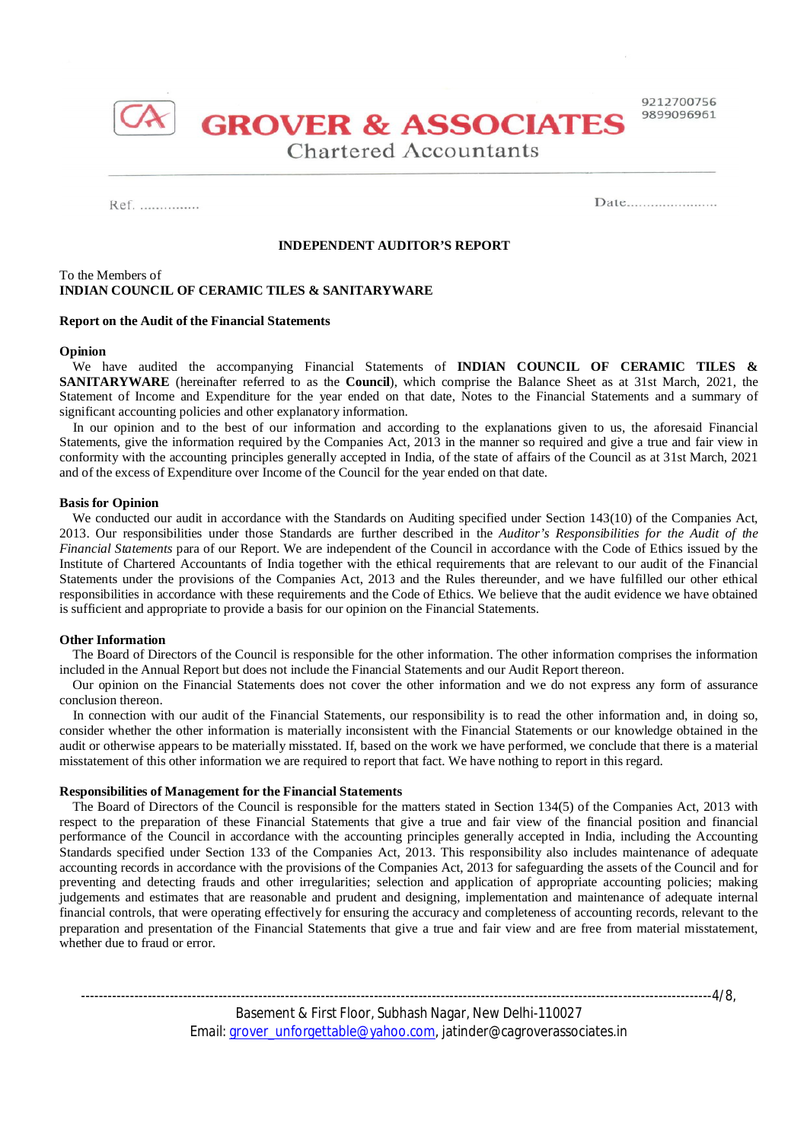

**Chartered Accountants** 

**GROVER & ASSOCIATES** 

### Ref. ...............

 $Date$ <sub>1</sub>

## **INDEPENDENT AUDITOR'S REPORT**

## To the Members of **INDIAN COUNCIL OF CERAMIC TILES & SANITARYWARE**

### **Report on the Audit of the Financial Statements**

### **Opinion**

 We have audited the accompanying Financial Statements of **INDIAN COUNCIL OF CERAMIC TILES & SANITARYWARE** (hereinafter referred to as the **Council**), which comprise the Balance Sheet as at 31st March, 2021, the Statement of Income and Expenditure for the year ended on that date, Notes to the Financial Statements and a summary of significant accounting policies and other explanatory information.

In our opinion and to the best of our information and according to the explanations given to us, the aforesaid Financial Statements, give the information required by the Companies Act, 2013 in the manner so required and give a true and fair view in conformity with the accounting principles generally accepted in India, of the state of affairs of the Council as at 31st March, 2021 and of the excess of Expenditure over Income of the Council for the year ended on that date.

### **Basis for Opinion**

 We conducted our audit in accordance with the Standards on Auditing specified under Section 143(10) of the Companies Act, 2013. Our responsibilities under those Standards are further described in the *Auditor's Responsibilities for the Audit of the Financial Statements* para of our Report. We are independent of the Council in accordance with the Code of Ethics issued by the Institute of Chartered Accountants of India together with the ethical requirements that are relevant to our audit of the Financial Statements under the provisions of the Companies Act, 2013 and the Rules thereunder, and we have fulfilled our other ethical responsibilities in accordance with these requirements and the Code of Ethics. We believe that the audit evidence we have obtained is sufficient and appropriate to provide a basis for our opinion on the Financial Statements.

#### **Other Information**

 The Board of Directors of the Council is responsible for the other information. The other information comprises the information included in the Annual Report but does not include the Financial Statements and our Audit Report thereon.

 Our opinion on the Financial Statements does not cover the other information and we do not express any form of assurance conclusion thereon.

 In connection with our audit of the Financial Statements, our responsibility is to read the other information and, in doing so, consider whether the other information is materially inconsistent with the Financial Statements or our knowledge obtained in the audit or otherwise appears to be materially misstated. If, based on the work we have performed, we conclude that there is a material misstatement of this other information we are required to report that fact. We have nothing to report in this regard.

### **Responsibilities of Management for the Financial Statements**

 The Board of Directors of the Council is responsible for the matters stated in Section 134(5) of the Companies Act, 2013 with respect to the preparation of these Financial Statements that give a true and fair view of the financial position and financial performance of the Council in accordance with the accounting principles generally accepted in India, including the Accounting Standards specified under Section 133 of the Companies Act, 2013. This responsibility also includes maintenance of adequate accounting records in accordance with the provisions of the Companies Act, 2013 for safeguarding the assets of the Council and for preventing and detecting frauds and other irregularities; selection and application of appropriate accounting policies; making judgements and estimates that are reasonable and prudent and designing, implementation and maintenance of adequate internal financial controls, that were operating effectively for ensuring the accuracy and completeness of accounting records, relevant to the preparation and presentation of the Financial Statements that give a true and fair view and are free from material misstatement, whether due to fraud or error.

-----------------------4/8,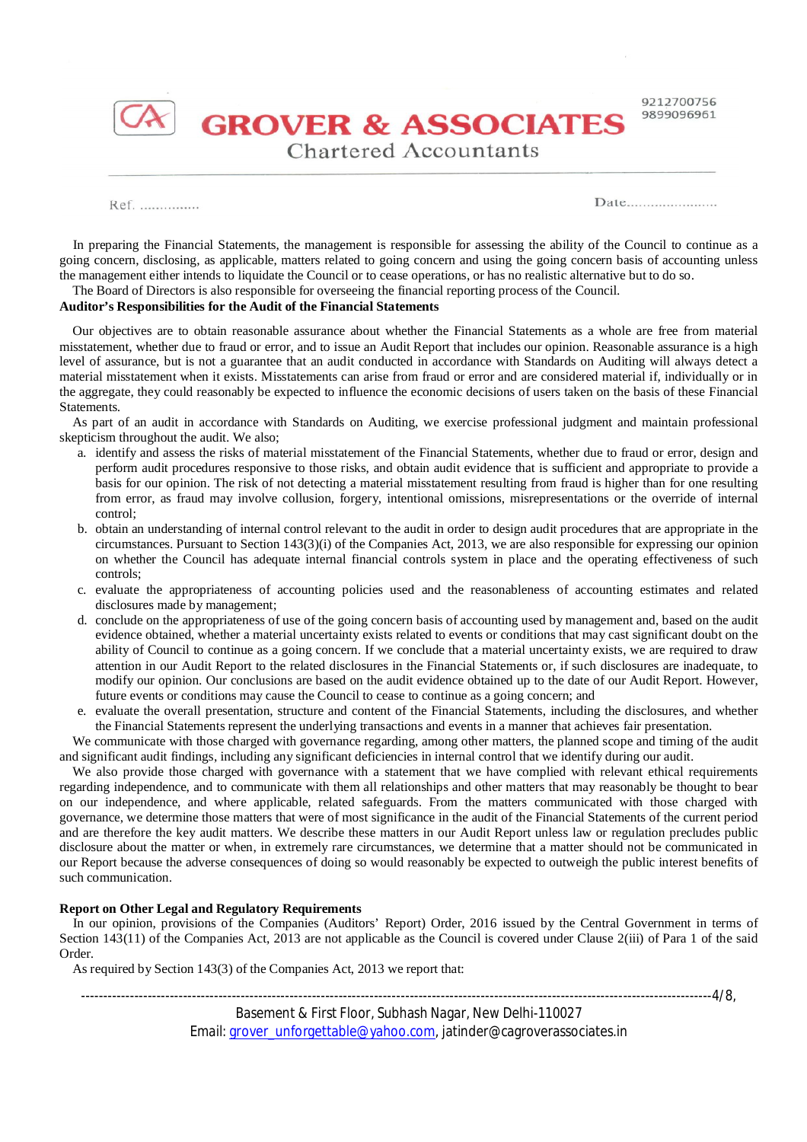

**GROVER & ASSOCIATES Chartered Accountants** 

Ref. ...............

 $Date$ <sub>1</sub>

 In preparing the Financial Statements, the management is responsible for assessing the ability of the Council to continue as a going concern, disclosing, as applicable, matters related to going concern and using the going concern basis of accounting unless the management either intends to liquidate the Council or to cease operations, or has no realistic alternative but to do so.

### The Board of Directors is also responsible for overseeing the financial reporting process of the Council. **Auditor's Responsibilities for the Audit of the Financial Statements**

 Our objectives are to obtain reasonable assurance about whether the Financial Statements as a whole are free from material misstatement, whether due to fraud or error, and to issue an Audit Report that includes our opinion. Reasonable assurance is a high level of assurance, but is not a guarantee that an audit conducted in accordance with Standards on Auditing will always detect a

material misstatement when it exists. Misstatements can arise from fraud or error and are considered material if, individually or in the aggregate, they could reasonably be expected to influence the economic decisions of users taken on the basis of these Financial Statements.

 As part of an audit in accordance with Standards on Auditing, we exercise professional judgment and maintain professional skepticism throughout the audit. We also;

- a. identify and assess the risks of material misstatement of the Financial Statements, whether due to fraud or error, design and perform audit procedures responsive to those risks, and obtain audit evidence that is sufficient and appropriate to provide a basis for our opinion. The risk of not detecting a material misstatement resulting from fraud is higher than for one resulting from error, as fraud may involve collusion, forgery, intentional omissions, misrepresentations or the override of internal control;
- b. obtain an understanding of internal control relevant to the audit in order to design audit procedures that are appropriate in the circumstances. Pursuant to Section 143(3)(i) of the Companies Act, 2013, we are also responsible for expressing our opinion on whether the Council has adequate internal financial controls system in place and the operating effectiveness of such controls;
- c. evaluate the appropriateness of accounting policies used and the reasonableness of accounting estimates and related disclosures made by management;
- d. conclude on the appropriateness of use of the going concern basis of accounting used by management and, based on the audit evidence obtained, whether a material uncertainty exists related to events or conditions that may cast significant doubt on the ability of Council to continue as a going concern. If we conclude that a material uncertainty exists, we are required to draw attention in our Audit Report to the related disclosures in the Financial Statements or, if such disclosures are inadequate, to modify our opinion. Our conclusions are based on the audit evidence obtained up to the date of our Audit Report. However, future events or conditions may cause the Council to cease to continue as a going concern; and
- e. evaluate the overall presentation, structure and content of the Financial Statements, including the disclosures, and whether the Financial Statements represent the underlying transactions and events in a manner that achieves fair presentation.

 We communicate with those charged with governance regarding, among other matters, the planned scope and timing of the audit and significant audit findings, including any significant deficiencies in internal control that we identify during our audit.

We also provide those charged with governance with a statement that we have complied with relevant ethical requirements regarding independence, and to communicate with them all relationships and other matters that may reasonably be thought to bear on our independence, and where applicable, related safeguards. From the matters communicated with those charged with governance, we determine those matters that were of most significance in the audit of the Financial Statements of the current period and are therefore the key audit matters. We describe these matters in our Audit Report unless law or regulation precludes public disclosure about the matter or when, in extremely rare circumstances, we determine that a matter should not be communicated in our Report because the adverse consequences of doing so would reasonably be expected to outweigh the public interest benefits of such communication.

# **Report on Other Legal and Regulatory Requirements**

 In our opinion, provisions of the Companies (Auditors' Report) Order, 2016 issued by the Central Government in terms of Section 143(11) of the Companies Act, 2013 are not applicable as the Council is covered under Clause 2(iii) of Para 1 of the said Order.

As required by Section 143(3) of the Companies Act, 2013 we report that:

-------------------4/8,

Basement & First Floor, Subhash Nagar, New Delhi-110027 Email: grover\_unforgettable@yahoo.com, jatinder@cagroverassociates.in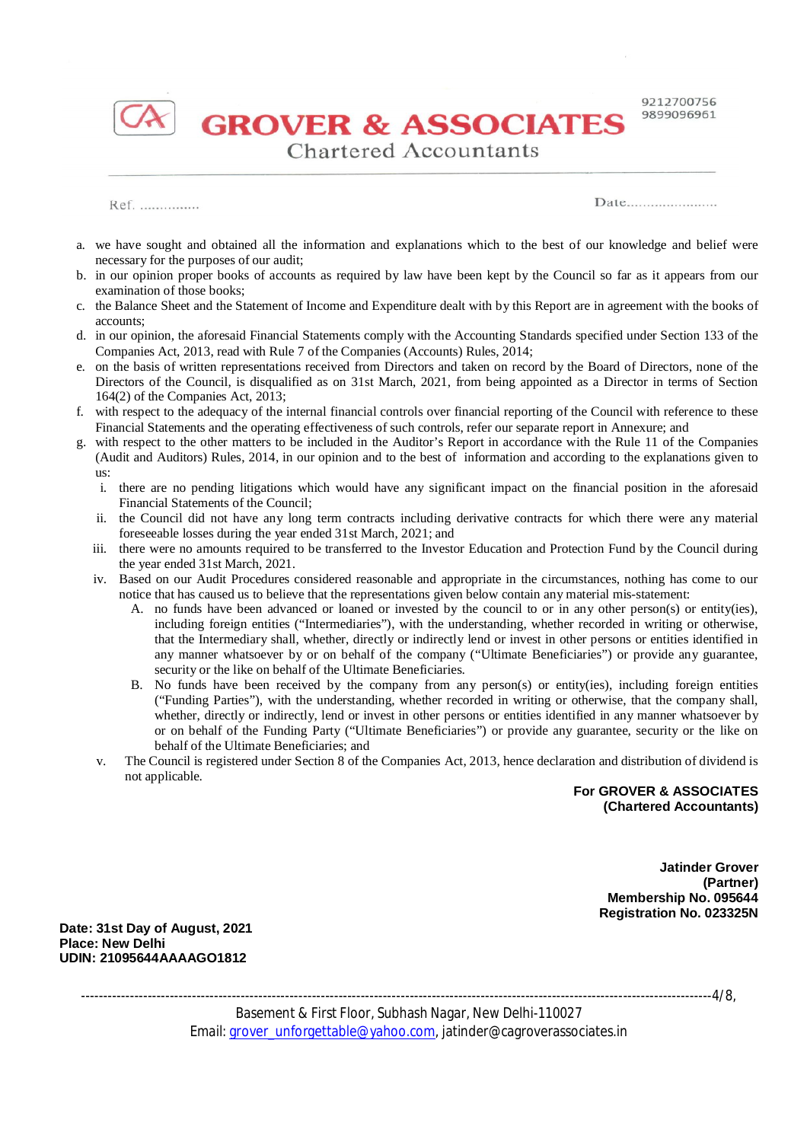

**GROVER & ASSOCIATES Chartered Accountants** 

Ref. ...............

 $Date$ <sub>1</sub>

- a. we have sought and obtained all the information and explanations which to the best of our knowledge and belief were necessary for the purposes of our audit;
- b. in our opinion proper books of accounts as required by law have been kept by the Council so far as it appears from our examination of those books;
- c. the Balance Sheet and the Statement of Income and Expenditure dealt with by this Report are in agreement with the books of accounts;
- d. in our opinion, the aforesaid Financial Statements comply with the Accounting Standards specified under Section 133 of the Companies Act, 2013, read with Rule 7 of the Companies (Accounts) Rules, 2014;
- e. on the basis of written representations received from Directors and taken on record by the Board of Directors, none of the Directors of the Council, is disqualified as on 31st March, 2021, from being appointed as a Director in terms of Section 164(2) of the Companies Act, 2013;
- f. with respect to the adequacy of the internal financial controls over financial reporting of the Council with reference to these Financial Statements and the operating effectiveness of such controls, refer our separate report in Annexure; and
- g. with respect to the other matters to be included in the Auditor's Report in accordance with the Rule 11 of the Companies (Audit and Auditors) Rules, 2014, in our opinion and to the best of information and according to the explanations given to us:
	- i. there are no pending litigations which would have any significant impact on the financial position in the aforesaid Financial Statements of the Council;
	- ii. the Council did not have any long term contracts including derivative contracts for which there were any material foreseeable losses during the year ended 31st March, 2021; and
	- iii. there were no amounts required to be transferred to the Investor Education and Protection Fund by the Council during the year ended 31st March, 2021.
	- iv. Based on our Audit Procedures considered reasonable and appropriate in the circumstances, nothing has come to our notice that has caused us to believe that the representations given below contain any material mis-statement:
		- A. no funds have been advanced or loaned or invested by the council to or in any other person(s) or entity(ies), including foreign entities ("Intermediaries"), with the understanding, whether recorded in writing or otherwise, that the Intermediary shall, whether, directly or indirectly lend or invest in other persons or entities identified in any manner whatsoever by or on behalf of the company ("Ultimate Beneficiaries") or provide any guarantee, security or the like on behalf of the Ultimate Beneficiaries.
		- B. No funds have been received by the company from any person(s) or entity(ies), including foreign entities ("Funding Parties"), with the understanding, whether recorded in writing or otherwise, that the company shall, whether, directly or indirectly, lend or invest in other persons or entities identified in any manner whatsoever by or on behalf of the Funding Party ("Ultimate Beneficiaries") or provide any guarantee, security or the like on behalf of the Ultimate Beneficiaries; and
	- v. The Council is registered under Section 8 of the Companies Act, 2013, hence declaration and distribution of dividend is not applicable.

**For GROVER & ASSOCIATES (Chartered Accountants)**

> **Jatinder Grover (Partner) Membership No. 095644 Registration No. 023325N**

**Date: 31st Day of August, 2021 Place: New Delhi UDIN: 21095644AAAAGO1812**

----------------------------------------------------------------------------------------------------------------------------------------------4/8,

Basement & First Floor, Subhash Nagar, New Delhi-110027 Email: grover\_unforgettable@yahoo.com, jatinder@cagroverassociates.in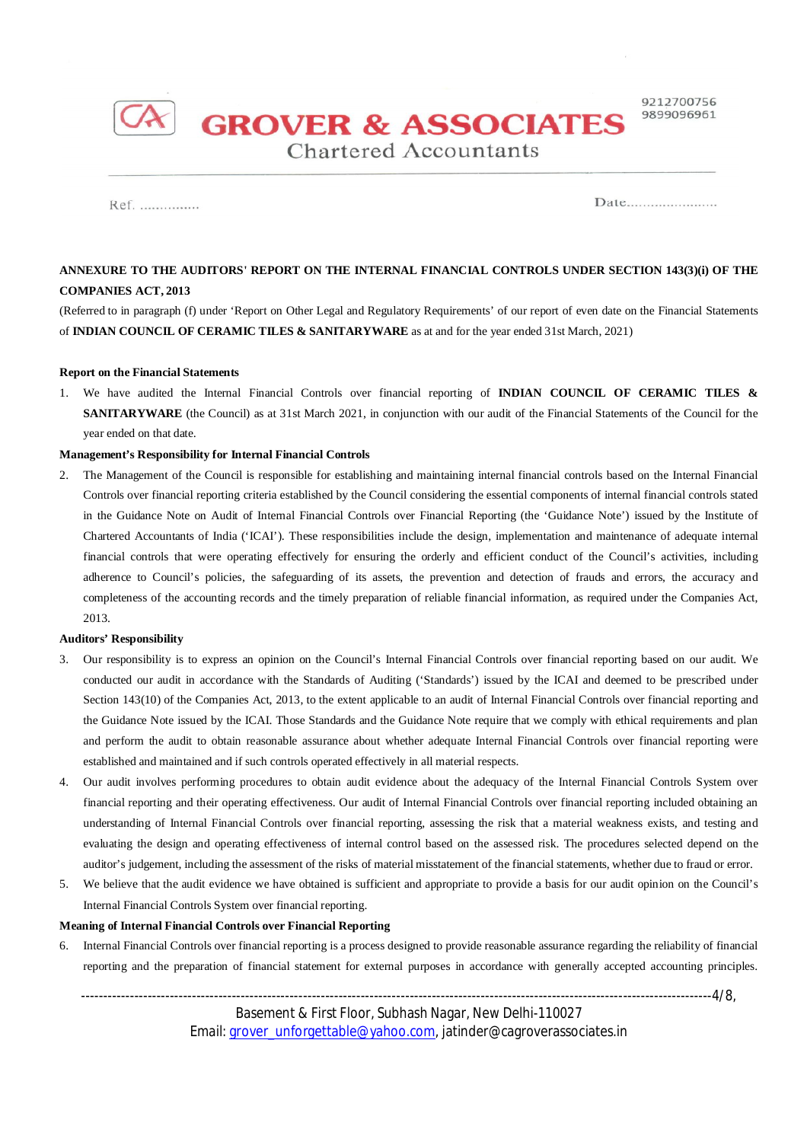

**GROVER & ASSOCIATES Chartered Accountants** 

Ref. ...............

Date.........................

# **ANNEXURE TO THE AUDITORS' REPORT ON THE INTERNAL FINANCIAL CONTROLS UNDER SECTION 143(3)(i) OF THE COMPANIES ACT, 2013**

(Referred to in paragraph (f) under 'Report on Other Legal and Regulatory Requirements' of our report of even date on the Financial Statements of **INDIAN COUNCIL OF CERAMIC TILES & SANITARYWARE** as at and for the year ended 31st March, 2021)

### **Report on the Financial Statements**

1. We have audited the Internal Financial Controls over financial reporting of **INDIAN COUNCIL OF CERAMIC TILES & SANITARYWARE** (the Council) as at 31st March 2021, in conjunction with our audit of the Financial Statements of the Council for the year ended on that date.

### **Management's Responsibility for Internal Financial Controls**

2. The Management of the Council is responsible for establishing and maintaining internal financial controls based on the Internal Financial Controls over financial reporting criteria established by the Council considering the essential components of internal financial controls stated in the Guidance Note on Audit of Internal Financial Controls over Financial Reporting (the 'Guidance Note') issued by the Institute of Chartered Accountants of India ('ICAI'). These responsibilities include the design, implementation and maintenance of adequate internal financial controls that were operating effectively for ensuring the orderly and efficient conduct of the Council's activities, including adherence to Council's policies, the safeguarding of its assets, the prevention and detection of frauds and errors, the accuracy and completeness of the accounting records and the timely preparation of reliable financial information, as required under the Companies Act, 2013.

#### **Auditors' Responsibility**

- 3. Our responsibility is to express an opinion on the Council's Internal Financial Controls over financial reporting based on our audit. We conducted our audit in accordance with the Standards of Auditing ('Standards') issued by the ICAI and deemed to be prescribed under Section 143(10) of the Companies Act, 2013, to the extent applicable to an audit of Internal Financial Controls over financial reporting and the Guidance Note issued by the ICAI. Those Standards and the Guidance Note require that we comply with ethical requirements and plan and perform the audit to obtain reasonable assurance about whether adequate Internal Financial Controls over financial reporting were established and maintained and if such controls operated effectively in all material respects.
- 4. Our audit involves performing procedures to obtain audit evidence about the adequacy of the Internal Financial Controls System over financial reporting and their operating effectiveness. Our audit of Internal Financial Controls over financial reporting included obtaining an understanding of Internal Financial Controls over financial reporting, assessing the risk that a material weakness exists, and testing and evaluating the design and operating effectiveness of internal control based on the assessed risk. The procedures selected depend on the auditor's judgement, including the assessment of the risks of material misstatement of the financial statements, whether due to fraud or error.
- 5. We believe that the audit evidence we have obtained is sufficient and appropriate to provide a basis for our audit opinion on the Council's Internal Financial Controls System over financial reporting.

## **Meaning of Internal Financial Controls over Financial Reporting**

6. Internal Financial Controls over financial reporting is a process designed to provide reasonable assurance regarding the reliability of financial reporting and the preparation of financial statement for external purposes in accordance with generally accepted accounting principles.

----------------------------------------------------------------------------------------------------------------------------------------------4/8, Basement & First Floor, Subhash Nagar, New Delhi-110027 Email: *grover\_unforgettable@yahoo.com, jatinder@cagroverassociates.in*